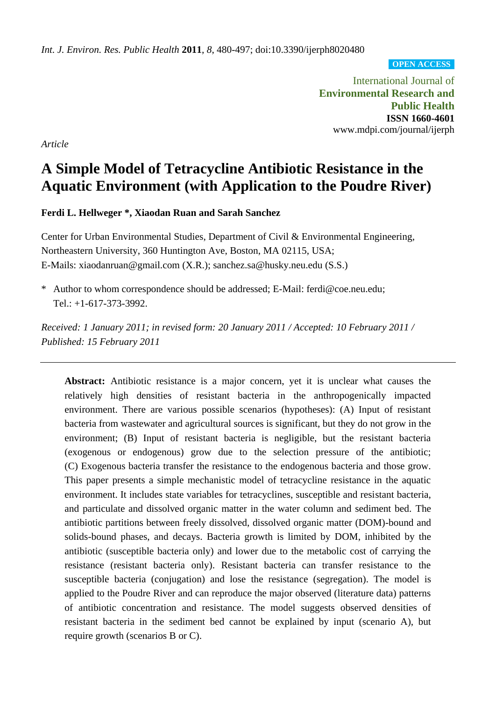**OPEN ACCESS**

International Journal of **Environmental Research and Public Health ISSN 1660-4601** www.mdpi.com/journal/ijerph

*Article*

# **A Simple Model of Tetracycline Antibiotic Resistance in the Aquatic Environment (with Application to the Poudre River)**

**Ferdi L. Hellweger \*, Xiaodan Ruan and Sarah Sanchez**

Center for Urban Environmental Studies, Department of Civil & Environmental Engineering, Northeastern University, 360 Huntington Ave, Boston, MA 02115, USA; E-Mails: xiaodanruan@gmail.com (X.R.); sanchez.sa@husky.neu.edu (S.S.)

\* Author to whom correspondence should be addressed; E-Mail: ferdi@coe.neu.edu; Tel.: +1-617-373-3992.

*Received: 1 January 2011; in revised form: 20 January 2011 / Accepted: 10 February 2011 / Published: 15 February 2011*

**Abstract:** Antibiotic resistance is a major concern, yet it is unclear what causes the relatively high densities of resistant bacteria in the anthropogenically impacted environment. There are various possible scenarios (hypotheses): (A) Input of resistant bacteria from wastewater and agricultural sources is significant, but they do not grow in the environment; (B) Input of resistant bacteria is negligible, but the resistant bacteria (exogenous or endogenous) grow due to the selection pressure of the antibiotic; (C) Exogenous bacteria transfer the resistance to the endogenous bacteria and those grow. This paper presents a simple mechanistic model of tetracycline resistance in the aquatic environment. It includes state variables for tetracyclines, susceptible and resistant bacteria, and particulate and dissolved organic matter in the water column and sediment bed. The antibiotic partitions between freely dissolved, dissolved organic matter (DOM)-bound and solids-bound phases, and decays. Bacteria growth is limited by DOM, inhibited by the antibiotic (susceptible bacteria only) and lower due to the metabolic cost of carrying the resistance (resistant bacteria only). Resistant bacteria can transfer resistance to the susceptible bacteria (conjugation) and lose the resistance (segregation). The model is applied to the Poudre River and can reproduce the major observed (literature data) patterns of antibiotic concentration and resistance. The model suggests observed densities of resistant bacteria in the sediment bed cannot be explained by input (scenario A), but require growth (scenarios B or C).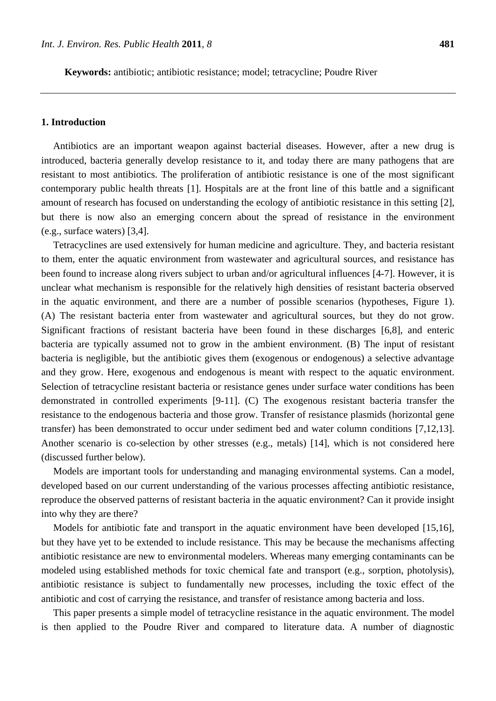**Keywords:** antibiotic; antibiotic resistance; model; tetracycline; Poudre River

## **1. Introduction**

Antibiotics are an important weapon against bacterial diseases. However, after a new drug is introduced, bacteria generally develop resistance to it, and today there are many pathogens that are resistant to most antibiotics. The proliferation of antibiotic resistance is one of the most significant contemporary public health threats [1]. Hospitals are at the front line of this battle and a significant amount of research has focused on understanding the ecology of antibiotic resistance in this setting [2], but there is now also an emerging concern about the spread of resistance in the environment (e.g., surface waters) [3,4].

Tetracyclines are used extensively for human medicine and agriculture. They, and bacteria resistant to them, enter the aquatic environment from wastewater and agricultural sources, and resistance has been found to increase along rivers subject to urban and/or agricultural influences [4-7]. However, it is unclear what mechanism is responsible for the relatively high densities of resistant bacteria observed in the aquatic environment, and there are a number of possible scenarios (hypotheses, Figure 1). (A) The resistant bacteria enter from wastewater and agricultural sources, but they do not grow. Significant fractions of resistant bacteria have been found in these discharges [6,8], and enteric bacteria are typically assumed not to grow in the ambient environment. (B) The input of resistant bacteria is negligible, but the antibiotic gives them (exogenous or endogenous) a selective advantage and they grow. Here, exogenous and endogenous is meant with respect to the aquatic environment. Selection of tetracycline resistant bacteria or resistance genes under surface water conditions has been demonstrated in controlled experiments [9-11]. (C) The exogenous resistant bacteria transfer the resistance to the endogenous bacteria and those grow. Transfer of resistance plasmids (horizontal gene transfer) has been demonstrated to occur under sediment bed and water column conditions [7,12,13]. Another scenario is co-selection by other stresses (e.g., metals) [14], which is not considered here (discussed further below).

Models are important tools for understanding and managing environmental systems. Can a model, developed based on our current understanding of the various processes affecting antibiotic resistance, reproduce the observed patterns of resistant bacteria in the aquatic environment? Can it provide insight into why they are there?

Models for antibiotic fate and transport in the aquatic environment have been developed [15,16], but they have yet to be extended to include resistance. This may be because the mechanisms affecting antibiotic resistance are new to environmental modelers. Whereas many emerging contaminants can be modeled using established methods for toxic chemical fate and transport (e.g., sorption, photolysis), antibiotic resistance is subject to fundamentally new processes, including the toxic effect of the antibiotic and cost of carrying the resistance, and transfer of resistance among bacteria and loss.

This paper presents a simple model of tetracycline resistance in the aquatic environment. The model is then applied to the Poudre River and compared to literature data. A number of diagnostic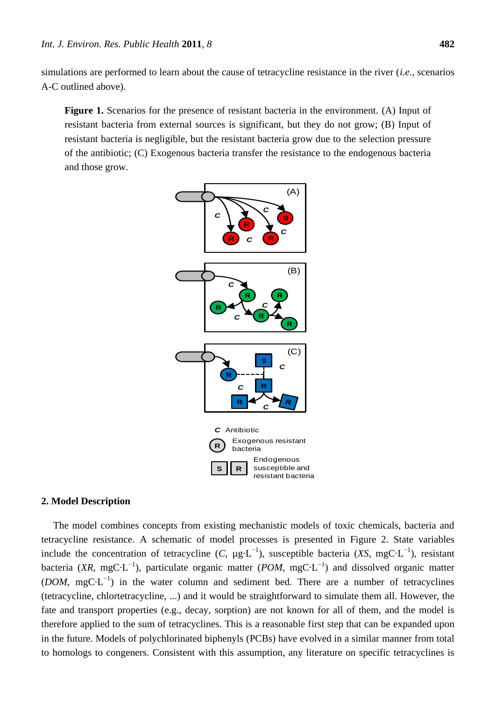simulations are performed to learn about the cause of tetracycline resistance in the river (*i.e.*, scenarios A-C outlined above).

**Figure 1.** Scenarios for the presence of resistant bacteria in the environment. (A) Input of resistant bacteria from external sources is significant, but they do not grow; (B) Input of resistant bacteria is negligible, but the resistant bacteria grow due to the selection pressure of the antibiotic; (C) Exogenous bacteria transfer the resistance to the endogenous bacteria and those grow.



## **2. Model Description**

The model combines concepts from existing mechanistic models of toxic chemicals, bacteria and tetracycline resistance. A schematic of model processes is presented in Figure 2. State variables include the concentration of tetracycline  $(C, \mu g L^{-1})$ , susceptible bacteria  $(XS, mg C L^{-1})$ , resistant bacteria (XR, mgC L<sup>-1</sup>), particulate organic matter (*POM*, mgC L<sup>-1</sup>) and dissolved organic matter (*DOM*, mgC  $L^{-1}$ ) in the water column and sediment bed. There are a number of tetracyclines (tetracycline, chlortetracycline, ...) and it would be straightforward to simulate them all. However, the fate and transport properties (e.g., decay, sorption) are not known for all of them, and the model is therefore applied to the sum of tetracyclines. This is a reasonable first step that can be expanded upon in the future. Models of polychlorinated biphenyls (PCBs) have evolved in a similar manner from total to homologs to congeners. Consistent with this assumption, any literature on specific tetracyclines is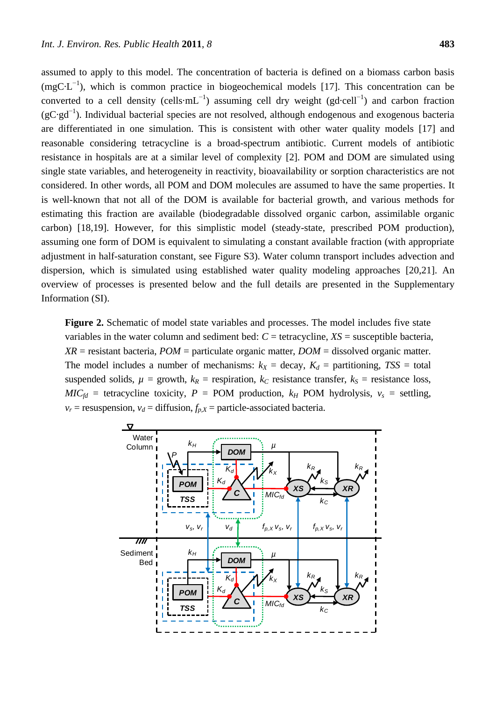assumed to apply to this model. The concentration of bacteria is defined on a biomass carbon basis (mgC  $L^{-1}$ ), which is common practice in biogeochemical models [17]. This concentration can be converted to a cell density (cells mL<sup>-1</sup>) assuming cell dry weight (gd cell<sup>-1</sup>) and carbon fraction  $(gC\,gd^{-1})$ . Individual bacterial species are not resolved, although endogenous and exogenous bacteria are differentiated in one simulation. This is consistent with other water quality models [17] and reasonable considering tetracycline is a broad-spectrum antibiotic. Current models of antibiotic resistance in hospitals are at a similar level of complexity [2]. POM and DOM are simulated using single state variables, and heterogeneity in reactivity, bioavailability or sorption characteristics are not considered. In other words, all POM and DOM molecules are assumed to have the same properties. It is well-known that not all of the DOM is available for bacterial growth, and various methods for estimating this fraction are available (biodegradable dissolved organic carbon, assimilable organic carbon) [18,19]. However, for this simplistic model (steady-state, prescribed POM production), assuming one form of DOM is equivalent to simulating a constant available fraction (with appropriate adjustment in half-saturation constant, see Figure S3). Water column transport includes advection and dispersion, which is simulated using established water quality modeling approaches [20,21]. An overview of processes is presented below and the full details are presented in the Supplementary Information (SI).

**Figure 2.** Schematic of model state variables and processes. The model includes five state variables in the water column and sediment bed:  $C =$  tetracycline,  $XS =$  susceptible bacteria, *XR* = resistant bacteria, *POM* = particulate organic matter, *DOM* = dissolved organic matter. The model includes a number of mechanisms:  $k_X = \text{decay}, K_d = \text{partitioning}, TSS = \text{total}$ suspended solids,  $\mu$  = growth,  $k_R$  = respiration,  $k_C$  resistance transfer,  $k_S$  = resistance loss,  $MIC<sub>fd</sub>$  = tetracycline toxicity, *P* = POM production, *k<sub>H</sub>* POM hydrolysis, *v<sub>s</sub>* = settling,  $v_r$  = resuspension,  $v_d$  = diffusion,  $f_{p,X}$  = particle-associated bacteria.

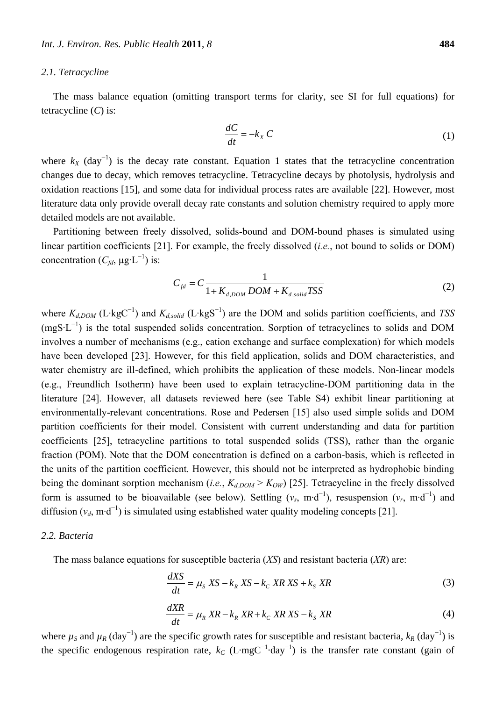#### *2.1. Tetracycline*

The mass balance equation (omitting transport terms for clarity, see SI for full equations) for tetracycline (*C*) is:

$$
\frac{dC}{dt} = -k_X C \tag{1}
$$

where  $k_X$  (day<sup>-1</sup>) is the decay rate constant. Equation 1 states that the tetracycline concentration changes due to decay, which removes tetracycline. Tetracycline decays by photolysis, hydrolysis and oxidation reactions [15], and some data for individual process rates are available [22]. However, most literature data only provide overall decay rate constants and solution chemistry required to apply more detailed models are not available.

Partitioning between freely dissolved, solids-bound and DOM-bound phases is simulated using linear partition coefficients [21]. For example, the freely dissolved (*i.e.*, not bound to solids or DOM) concentration  $(C_{fd}, \mu g \cdot L^{-1})$  is:

$$
C_{fd} = C \frac{1}{1 + K_{d,DOM} DOM + K_{d,solid}TSS}
$$
 (2)

where *Kd,DOM* (L·kgC<sup>−</sup><sup>1</sup> ) and *Kd,solid* (L·kgS<sup>−</sup><sup>1</sup> ) are the DOM and solids partition coefficients, and *TSS*  $(mgS·L^{-1})$  is the total suspended solids concentration. Sorption of tetracyclines to solids and DOM involves a number of mechanisms (e.g., cation exchange and surface complexation) for which models have been developed [23]. However, for this field application, solids and DOM characteristics, and water chemistry are ill-defined, which prohibits the application of these models. Non-linear models (e.g., Freundlich Isotherm) have been used to explain tetracycline-DOM partitioning data in the literature [24]. However, all datasets reviewed here (see Table S4) exhibit linear partitioning at environmentally-relevant concentrations. Rose and Pedersen [15] also used simple solids and DOM partition coefficients for their model. Consistent with current understanding and data for partition coefficients [25], tetracycline partitions to total suspended solids (TSS), rather than the organic fraction (POM). Note that the DOM concentration is defined on a carbon-basis, which is reflected in the units of the partition coefficient. However, this should not be interpreted as hydrophobic binding being the dominant sorption mechanism (*i.e.*,  $K_{d,DOM} > K_{OW}$ ) [25]. Tetracycline in the freely dissolved form is assumed to be bioavailable (see below). Settling  $(v_s, m \cdot d^{-1})$ , resuspension  $(v_r, m \cdot d^{-1})$  and diffusion  $(v_d, m \cdot d^{-1})$  is simulated using established water quality modeling concepts [21].

## *2.2. Bacteria*

The mass balance equations for susceptible bacteria (*XS*) and resistant bacteria (*XR*) are:

$$
\frac{dXS}{dt} = \mu_S \, XS - k_R \, XS - k_C \, XR \, XS + k_S \, XR \tag{3}
$$

$$
\frac{dXR}{dt} = \mu_R \, XR - k_R \,XR + k_C \,XR \,XS - k_S \,XR \tag{4}
$$

where  $\mu_S$  and  $\mu_R$  (day<sup>-1</sup>) are the specific growth rates for susceptible and resistant bacteria,  $k_R$  (day<sup>-1</sup>) is the specific endogenous respiration rate,  $k_C$  (L·mgC<sup>-1</sup> day<sup>-1</sup>) is the transfer rate constant (gain of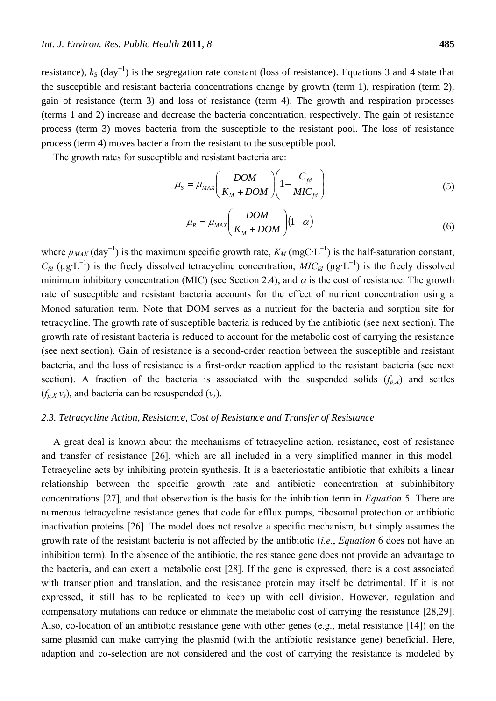resistance), *k<sup>S</sup>* (day−1) is the segregation rate constant (loss of resistance). Equations 3 and 4 state that the susceptible and resistant bacteria concentrations change by growth (term 1), respiration (term 2), gain of resistance (term 3) and loss of resistance (term 4). The growth and respiration processes (terms 1 and 2) increase and decrease the bacteria concentration, respectively. The gain of resistance process (term 3) moves bacteria from the susceptible to the resistant pool. The loss of resistance process (term 4) moves bacteria from the resistant to the susceptible pool.

The growth rates for susceptible and resistant bacteria are:

$$
\mu_{S} = \mu_{MAX} \left( \frac{DOM}{K_M + DOM} \right) \left( 1 - \frac{C_{fd}}{MIC_{fd}} \right) \tag{5}
$$

$$
\mu_R = \mu_{MAX} \left( \frac{DOM}{K_M + DOM} \right) (1 - \alpha) \tag{6}
$$

where  $\mu_{MAX}$  (day<sup>-1</sup>) is the maximum specific growth rate,  $K_M$  (mgC·L<sup>-1</sup>) is the half-saturation constant,  $C_{fd}$  ( $\mu$ g·L<sup>-1</sup>) is the freely dissolved tetracycline concentration, *MIC*<sub>*fd*</sub> ( $\mu$ g·L<sup>-1</sup>) is the freely dissolved minimum inhibitory concentration (MIC) (see Section 2.4), and  $\alpha$  is the cost of resistance. The growth rate of susceptible and resistant bacteria accounts for the effect of nutrient concentration using a Monod saturation term. Note that DOM serves as a nutrient for the bacteria and sorption site for tetracycline. The growth rate of susceptible bacteria is reduced by the antibiotic (see next section). The growth rate of resistant bacteria is reduced to account for the metabolic cost of carrying the resistance (see next section). Gain of resistance is a second-order reaction between the susceptible and resistant bacteria, and the loss of resistance is a first-order reaction applied to the resistant bacteria (see next section). A fraction of the bacteria is associated with the suspended solids  $(f_{p,X})$  and settles  $(f_{p,X}v_s)$ , and bacteria can be resuspended  $(v_r)$ .

## *2.3. Tetracycline Action, Resistance, Cost of Resistance and Transfer of Resistance*

A great deal is known about the mechanisms of tetracycline action, resistance, cost of resistance and transfer of resistance [26], which are all included in a very simplified manner in this model. Tetracycline acts by inhibiting protein synthesis. It is a bacteriostatic antibiotic that exhibits a linear relationship between the specific growth rate and antibiotic concentration at subinhibitory concentrations [27], and that observation is the basis for the inhibition term in *Equation* 5. There are numerous tetracycline resistance genes that code for efflux pumps, ribosomal protection or antibiotic inactivation proteins [26]. The model does not resolve a specific mechanism, but simply assumes the growth rate of the resistant bacteria is not affected by the antibiotic (*i.e.*, *Equation* 6 does not have an inhibition term). In the absence of the antibiotic, the resistance gene does not provide an advantage to the bacteria, and can exert a metabolic cost [28]. If the gene is expressed, there is a cost associated with transcription and translation, and the resistance protein may itself be detrimental. If it is not expressed, it still has to be replicated to keep up with cell division. However, regulation and compensatory mutations can reduce or eliminate the metabolic cost of carrying the resistance [28,29]. Also, co-location of an antibiotic resistance gene with other genes (e.g., metal resistance [14]) on the same plasmid can make carrying the plasmid (with the antibiotic resistance gene) beneficial. Here, adaption and co-selection are not considered and the cost of carrying the resistance is modeled by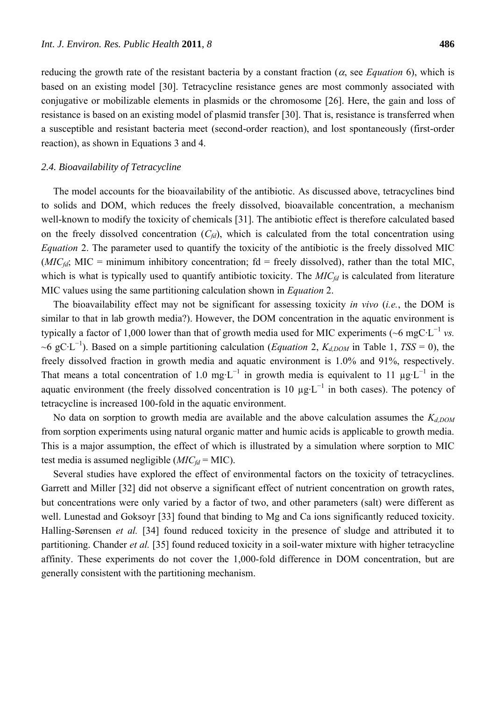reducing the growth rate of the resistant bacteria by a constant fraction ( $\alpha$ , see *Equation* 6), which is based on an existing model [30]. Tetracycline resistance genes are most commonly associated with conjugative or mobilizable elements in plasmids or the chromosome [26]. Here, the gain and loss of resistance is based on an existing model of plasmid transfer [30]. That is, resistance is transferred when a susceptible and resistant bacteria meet (second-order reaction), and lost spontaneously (first-order reaction), as shown in Equations 3 and 4.

#### *2.4. Bioavailability of Tetracycline*

The model accounts for the bioavailability of the antibiotic. As discussed above, tetracyclines bind to solids and DOM, which reduces the freely dissolved, bioavailable concentration, a mechanism well-known to modify the toxicity of chemicals [31]. The antibiotic effect is therefore calculated based on the freely dissolved concentration  $(C_{fd})$ , which is calculated from the total concentration using *Equation* 2. The parameter used to quantify the toxicity of the antibiotic is the freely dissolved MIC ( $MIC<sub>fd</sub>$ ; MIC = minimum inhibitory concentration;  $fd$  = freely dissolved), rather than the total MIC, which is what is typically used to quantify antibiotic toxicity. The *MIC*<sup>*fd*</sup> is calculated from literature MIC values using the same partitioning calculation shown in *Equation* 2.

The bioavailability effect may not be significant for assessing toxicity *in vivo* (*i.e.*, the DOM is similar to that in lab growth media?). However, the DOM concentration in the aquatic environment is typically a factor of 1,000 lower than that of growth media used for MIC experiments ( $\sim$ 6 mgC·L<sup>-1</sup> vs. ~6 gC·L −1 ). Based on a simple partitioning calculation (*Equation* 2, *Kd,DOM* in Table 1, *TSS* = 0), the freely dissolved fraction in growth media and aquatic environment is 1.0% and 91%, respectively. That means a total concentration of 1.0 mg⋅L<sup>-1</sup> in growth media is equivalent to 11  $\mu$ g⋅L<sup>-1</sup> in the aquatic environment (the freely dissolved concentration is 10  $\mu$ g·L<sup>-1</sup> in both cases). The potency of tetracycline is increased 100-fold in the aquatic environment.

No data on sorption to growth media are available and the above calculation assumes the *Kd,DOM* from sorption experiments using natural organic matter and humic acids is applicable to growth media. This is a major assumption, the effect of which is illustrated by a simulation where sorption to MIC test media is assumed negligible (*MICfd* = MIC).

Several studies have explored the effect of environmental factors on the toxicity of tetracyclines. Garrett and Miller [32] did not observe a significant effect of nutrient concentration on growth rates, but concentrations were only varied by a factor of two, and other parameters (salt) were different as well. Lunestad and Goksoyr [33] found that binding to Mg and Ca ions significantly reduced toxicity. Halling-Sørensen *et al.* [34] found reduced toxicity in the presence of sludge and attributed it to partitioning. Chander *et al.* [35] found reduced toxicity in a soil-water mixture with higher tetracycline affinity. These experiments do not cover the 1,000-fold difference in DOM concentration, but are generally consistent with the partitioning mechanism.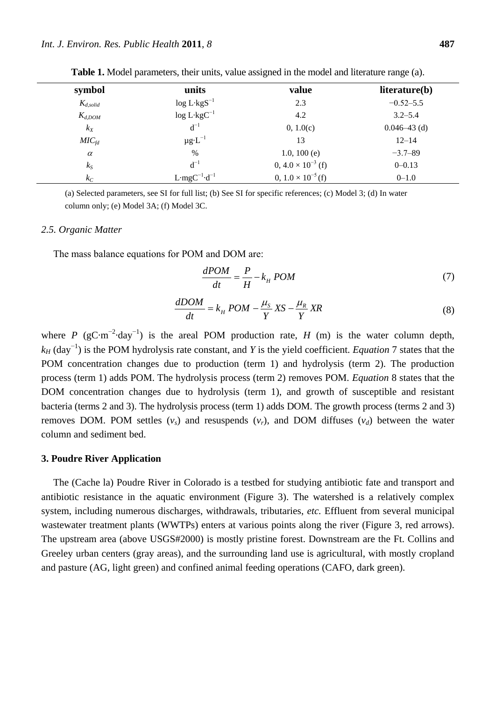| symbol            | units                               | value                       | literature(b)    |
|-------------------|-------------------------------------|-----------------------------|------------------|
| $K_{d,solid}$     | $\log L$ kgS <sup>-1</sup>          | 2.3                         | $-0.52 - 5.5$    |
| $K_{d,DOM}$       | $\log L$ kgC <sup>-1</sup>          | 4.2                         | $3.2 - 5.4$      |
| $k_X$             | $d^{-1}$                            | 0, 1.0(c)                   | $0.046 - 43$ (d) |
| MIC <sub>fd</sub> | $\mu$ g L <sup>-1</sup>             | 13                          | $12 - 14$        |
| $\alpha$          | %                                   | 1.0, 100 $(e)$              | $-3.7 - 89$      |
| $k_S$             | $d^{-1}$                            | $0, 4.0 \times 10^{-3}$ (f) | $0 - 0.13$       |
| $k_C$             | L mgC <sup>-1</sup> d <sup>-1</sup> | $0, 1.0 \times 10^{-5}$ (f) | $0 - 1.0$        |

**Table 1.** Model parameters, their units, value assigned in the model and literature range (a).

(a) Selected parameters, see SI for full list; (b) See SI for specific references; (c) Model 3; (d) In water column only; (e) Model 3A; (f) Model 3C.

#### *2.5. Organic Matter*

The mass balance equations for POM and DOM are:

$$
\frac{dPOM}{dt} = \frac{P}{H} - k_H \, POM \tag{7}
$$

$$
\frac{dDOM}{dt} = k_H\ POM - \frac{\mu_S}{Y}XS - \frac{\mu_R}{Y}XR\tag{8}
$$

where *P* (gC m<sup>-2</sup> day<sup>-1</sup>) is the areal POM production rate, *H* (m) is the water column depth, *k<sub>H</sub>* (day<sup>-1</sup>) is the POM hydrolysis rate constant, and *Y* is the yield coefficient. *Equation* 7 states that the POM concentration changes due to production (term 1) and hydrolysis (term 2). The production process (term 1) adds POM. The hydrolysis process (term 2) removes POM. *Equation* 8 states that the DOM concentration changes due to hydrolysis (term 1), and growth of susceptible and resistant bacteria (terms 2 and 3). The hydrolysis process (term 1) adds DOM. The growth process (terms 2 and 3) removes DOM. POM settles  $(v_s)$  and resuspends  $(v_r)$ , and DOM diffuses  $(v_d)$  between the water column and sediment bed.

## **3. Poudre River Application**

The (Cache la) Poudre River in Colorado is a testbed for studying antibiotic fate and transport and antibiotic resistance in the aquatic environment (Figure 3). The watershed is a relatively complex system, including numerous discharges, withdrawals, tributaries, *etc.* Effluent from several municipal wastewater treatment plants (WWTPs) enters at various points along the river (Figure 3, red arrows). The upstream area (above USGS#2000) is mostly pristine forest. Downstream are the Ft. Collins and Greeley urban centers (gray areas), and the surrounding land use is agricultural, with mostly cropland and pasture (AG, light green) and confined animal feeding operations (CAFO, dark green).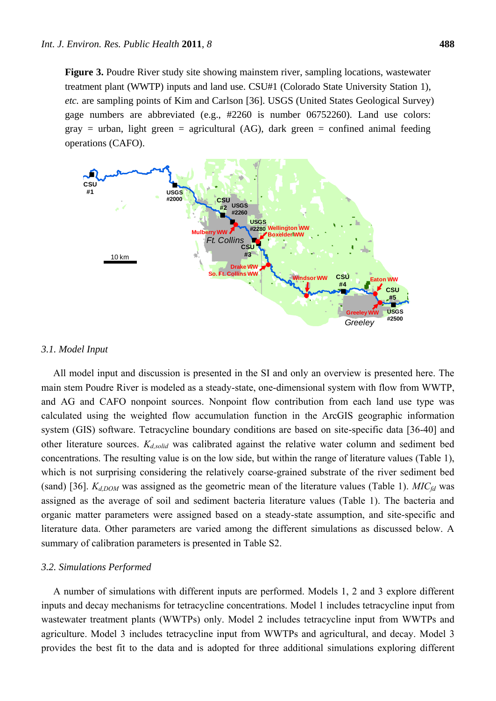**Figure 3.** Poudre River study site showing mainstem river, sampling locations, wastewater treatment plant (WWTP) inputs and land use. CSU#1 (Colorado State University Station 1), *etc.* are sampling points of Kim and Carlson [36]. USGS (United States Geological Survey) gage numbers are abbreviated (e.g., #2260 is number 06752260). Land use colors: gray = urban, light green = agricultural (AG), dark green = confined animal feeding operations (CAFO).



#### *3.1. Model Input*

All model input and discussion is presented in the SI and only an overview is presented here. The main stem Poudre River is modeled as a steady-state, one-dimensional system with flow from WWTP, and AG and CAFO nonpoint sources. Nonpoint flow contribution from each land use type was calculated using the weighted flow accumulation function in the ArcGIS geographic information system (GIS) software. Tetracycline boundary conditions are based on site-specific data [36-40] and other literature sources. *Kd,solid* was calibrated against the relative water column and sediment bed concentrations. The resulting value is on the low side, but within the range of literature values (Table 1), which is not surprising considering the relatively coarse-grained substrate of the river sediment bed (sand) [36]. *Kd,DOM* was assigned as the geometric mean of the literature values (Table 1). *MICfd* was assigned as the average of soil and sediment bacteria literature values (Table 1). The bacteria and organic matter parameters were assigned based on a steady-state assumption, and site-specific and literature data. Other parameters are varied among the different simulations as discussed below. A summary of calibration parameters is presented in Table S2.

#### *3.2. Simulations Performed*

A number of simulations with different inputs are performed. Models 1, 2 and 3 explore different inputs and decay mechanisms for tetracycline concentrations. Model 1 includes tetracycline input from wastewater treatment plants (WWTPs) only. Model 2 includes tetracycline input from WWTPs and agriculture. Model 3 includes tetracycline input from WWTPs and agricultural, and decay. Model 3 provides the best fit to the data and is adopted for three additional simulations exploring different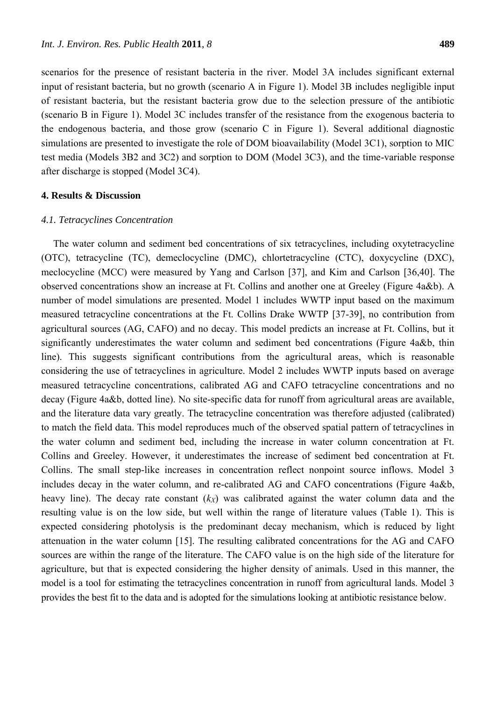scenarios for the presence of resistant bacteria in the river. Model 3A includes significant external input of resistant bacteria, but no growth (scenario A in Figure 1). Model 3B includes negligible input of resistant bacteria, but the resistant bacteria grow due to the selection pressure of the antibiotic (scenario B in Figure 1). Model 3C includes transfer of the resistance from the exogenous bacteria to the endogenous bacteria, and those grow (scenario C in Figure 1). Several additional diagnostic simulations are presented to investigate the role of DOM bioavailability (Model 3C1), sorption to MIC test media (Models 3B2 and 3C2) and sorption to DOM (Model 3C3), and the time-variable response after discharge is stopped (Model 3C4).

## **4. Results & Discussion**

## *4.1. Tetracyclines Concentration*

The water column and sediment bed concentrations of six tetracyclines, including oxytetracycline (OTC), tetracycline (TC), demeclocycline (DMC), chlortetracycline (CTC), doxycycline (DXC), meclocycline (MCC) were measured by Yang and Carlson [37], and Kim and Carlson [36,40]. The observed concentrations show an increase at Ft. Collins and another one at Greeley (Figure 4a&b). A number of model simulations are presented. Model 1 includes WWTP input based on the maximum measured tetracycline concentrations at the Ft. Collins Drake WWTP [37-39], no contribution from agricultural sources (AG, CAFO) and no decay. This model predicts an increase at Ft. Collins, but it significantly underestimates the water column and sediment bed concentrations (Figure 4a&b, thin line). This suggests significant contributions from the agricultural areas, which is reasonable considering the use of tetracyclines in agriculture. Model 2 includes WWTP inputs based on average measured tetracycline concentrations, calibrated AG and CAFO tetracycline concentrations and no decay (Figure 4a&b, dotted line). No site-specific data for runoff from agricultural areas are available, and the literature data vary greatly. The tetracycline concentration was therefore adjusted (calibrated) to match the field data. This model reproduces much of the observed spatial pattern of tetracyclines in the water column and sediment bed, including the increase in water column concentration at Ft. Collins and Greeley. However, it underestimates the increase of sediment bed concentration at Ft. Collins. The small step-like increases in concentration reflect nonpoint source inflows. Model 3 includes decay in the water column, and re-calibrated AG and CAFO concentrations (Figure 4a&b, heavy line). The decay rate constant  $(k_X)$  was calibrated against the water column data and the resulting value is on the low side, but well within the range of literature values (Table 1). This is expected considering photolysis is the predominant decay mechanism, which is reduced by light attenuation in the water column [15]. The resulting calibrated concentrations for the AG and CAFO sources are within the range of the literature. The CAFO value is on the high side of the literature for agriculture, but that is expected considering the higher density of animals. Used in this manner, the model is a tool for estimating the tetracyclines concentration in runoff from agricultural lands. Model 3 provides the best fit to the data and is adopted for the simulations looking at antibiotic resistance below.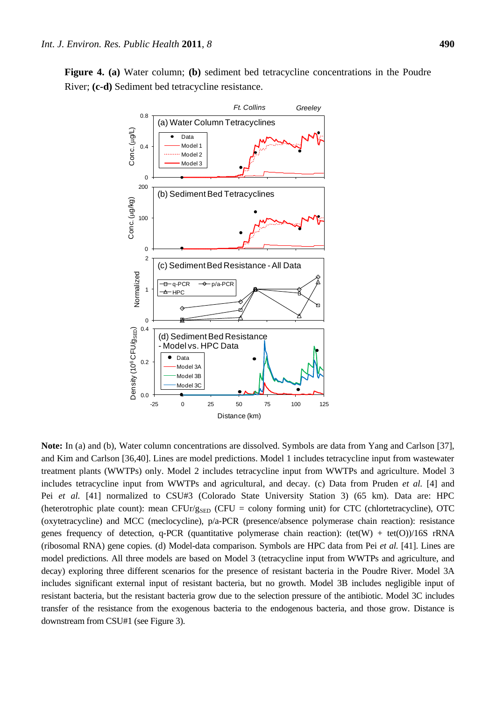**Figure 4. (a)** Water column; **(b)** sediment bed tetracycline concentrations in the Poudre River; **(c-d)** Sediment bed tetracycline resistance.



**Note:** In (a) and (b), Water column concentrations are dissolved. Symbols are data from Yang and Carlson [37], and Kim and Carlson [36,40]. Lines are model predictions. Model 1 includes tetracycline input from wastewater treatment plants (WWTPs) only. Model 2 includes tetracycline input from WWTPs and agriculture. Model 3 includes tetracycline input from WWTPs and agricultural, and decay. (c) Data from Pruden *et al.* [4] and Pei *et al.* [41] normalized to CSU#3 (Colorado State University Station 3) (65 km). Data are: HPC (heterotrophic plate count): mean CFUr/g<sub>SED</sub> (CFU = colony forming unit) for CTC (chlortetracycline), OTC (oxytetracycline) and MCC (meclocycline), p/a-PCR (presence/absence polymerase chain reaction): resistance genes frequency of detection, q-PCR (quantitative polymerase chain reaction): (tet(W) + tet(O))/16S rRNA (ribosomal RNA) gene copies. (d) Model-data comparison. Symbols are HPC data from Pei *et al.* [41]. Lines are model predictions. All three models are based on Model 3 (tetracycline input from WWTPs and agriculture, and decay) exploring three different scenarios for the presence of resistant bacteria in the Poudre River. Model 3A includes significant external input of resistant bacteria, but no growth. Model 3B includes negligible input of resistant bacteria, but the resistant bacteria grow due to the selection pressure of the antibiotic. Model 3C includes transfer of the resistance from the exogenous bacteria to the endogenous bacteria, and those grow. Distance is downstream from CSU#1 (see Figure 3).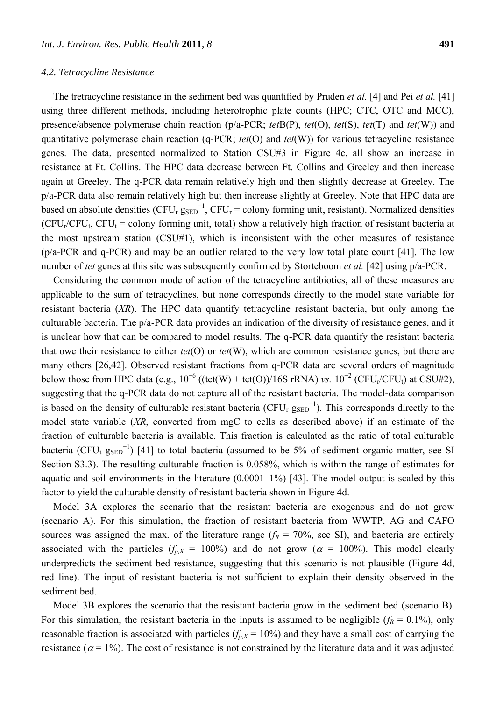#### *4.2. Tetracycline Resistance*

The tretracycline resistance in the sediment bed was quantified by Pruden *et al.* [4] and Pei *et al.* [41] using three different methods, including heterotrophic plate counts (HPC; CTC, OTC and MCC), presence/absence polymerase chain reaction (p/a-PCR; *tet*B(P), *tet*(O), *tet*(S), *tet*(T) and *tet*(W)) and quantitative polymerase chain reaction (q-PCR; *tet*(O) and *tet*(W)) for various tetracycline resistance genes. The data, presented normalized to Station CSU#3 in Figure 4c, all show an increase in resistance at Ft. Collins. The HPC data decrease between Ft. Collins and Greeley and then increase again at Greeley. The q-PCR data remain relatively high and then slightly decrease at Greeley. The p/a-PCR data also remain relatively high but then increase slightly at Greeley. Note that HPC data are based on absolute densities (CFU<sub>r  $g_{\text{SED}}^{-1}$ , CFU<sub>r</sub> = colony forming unit, resistant). Normalized densities</sub>  $(CFU_r/CFU_t, CFU_t = \text{colour forming unit, total}$  show a relatively high fraction of resistant bacteria at the most upstream station (CSU#1), which is inconsistent with the other measures of resistance (p/a-PCR and q-PCR) and may be an outlier related to the very low total plate count [41]. The low number of *tet* genes at this site was subsequently confirmed by Storteboom *et al.* [42] using p/a-PCR.

Considering the common mode of action of the tetracycline antibiotics, all of these measures are applicable to the sum of tetracyclines, but none corresponds directly to the model state variable for resistant bacteria (*XR*). The HPC data quantify tetracycline resistant bacteria, but only among the culturable bacteria. The p/a-PCR data provides an indication of the diversity of resistance genes, and it is unclear how that can be compared to model results. The q-PCR data quantify the resistant bacteria that owe their resistance to either *tet*(O) or *tet*(W), which are common resistance genes, but there are many others [26,42]. Observed resistant fractions from q-PCR data are several orders of magnitude below those from HPC data (e.g.,  $10^{-6}$  ((tet(W) + tet(O))/16S rRNA) *vs.*  $10^{-2}$  (CFU<sub>r</sub>/CFU<sub>t</sub>) at CSU#2), suggesting that the q-PCR data do not capture all of the resistant bacteria. The model-data comparison is based on the density of culturable resistant bacteria (CFU<sub>r  $g_{\text{SED}}^{-1}$ ). This corresponds directly to the</sub> model state variable (*XR*, converted from mgC to cells as described above) if an estimate of the fraction of culturable bacteria is available. This fraction is calculated as the ratio of total culturable bacteria (CFU<sub>t SSED</sub><sup>-1</sup>) [41] to total bacteria (assumed to be 5% of sediment organic matter, see SI Section S3.3). The resulting culturable fraction is 0.058%, which is within the range of estimates for aquatic and soil environments in the literature  $(0.0001-1\%)$  [43]. The model output is scaled by this factor to yield the culturable density of resistant bacteria shown in Figure 4d.

Model 3A explores the scenario that the resistant bacteria are exogenous and do not grow (scenario A). For this simulation, the fraction of resistant bacteria from WWTP, AG and CAFO sources was assigned the max. of the literature range  $(f_R = 70\%$ , see SI), and bacteria are entirely associated with the particles  $(f_{p,X} = 100\%)$  and do not grow ( $\alpha = 100\%$ ). This model clearly underpredicts the sediment bed resistance, suggesting that this scenario is not plausible (Figure 4d, red line). The input of resistant bacteria is not sufficient to explain their density observed in the sediment bed.

Model 3B explores the scenario that the resistant bacteria grow in the sediment bed (scenario B). For this simulation, the resistant bacteria in the inputs is assumed to be negligible  $(f<sub>R</sub> = 0.1%)$ , only reasonable fraction is associated with particles  $(f_{p,X} = 10\%)$  and they have a small cost of carrying the resistance ( $\alpha$  = 1%). The cost of resistance is not constrained by the literature data and it was adjusted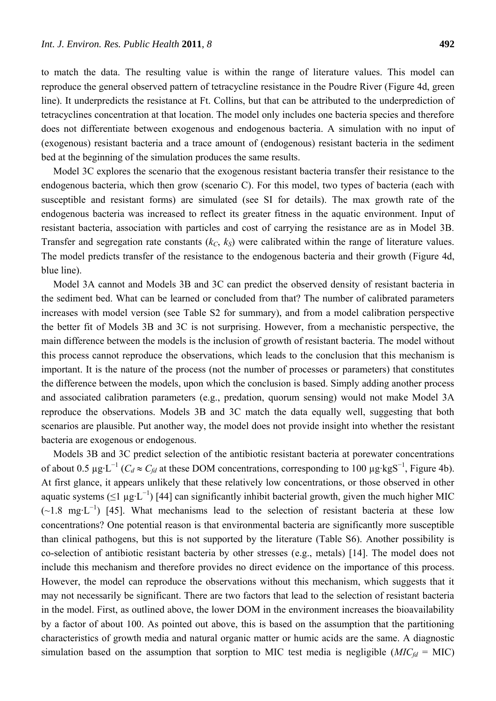to match the data. The resulting value is within the range of literature values. This model can reproduce the general observed pattern of tetracycline resistance in the Poudre River (Figure 4d, green line). It underpredicts the resistance at Ft. Collins, but that can be attributed to the underprediction of tetracyclines concentration at that location. The model only includes one bacteria species and therefore does not differentiate between exogenous and endogenous bacteria. A simulation with no input of (exogenous) resistant bacteria and a trace amount of (endogenous) resistant bacteria in the sediment bed at the beginning of the simulation produces the same results.

Model 3C explores the scenario that the exogenous resistant bacteria transfer their resistance to the endogenous bacteria, which then grow (scenario C). For this model, two types of bacteria (each with susceptible and resistant forms) are simulated (see SI for details). The max growth rate of the endogenous bacteria was increased to reflect its greater fitness in the aquatic environment. Input of resistant bacteria, association with particles and cost of carrying the resistance are as in Model 3B. Transfer and segregation rate constants  $(k_C, k_S)$  were calibrated within the range of literature values. The model predicts transfer of the resistance to the endogenous bacteria and their growth (Figure 4d, blue line).

Model 3A cannot and Models 3B and 3C can predict the observed density of resistant bacteria in the sediment bed. What can be learned or concluded from that? The number of calibrated parameters increases with model version (see Table S2 for summary), and from a model calibration perspective the better fit of Models 3B and 3C is not surprising. However, from a mechanistic perspective, the main difference between the models is the inclusion of growth of resistant bacteria. The model without this process cannot reproduce the observations, which leads to the conclusion that this mechanism is important. It is the nature of the process (not the number of processes or parameters) that constitutes the difference between the models, upon which the conclusion is based. Simply adding another process and associated calibration parameters (e.g., predation, quorum sensing) would not make Model 3A reproduce the observations. Models 3B and 3C match the data equally well, suggesting that both scenarios are plausible. Put another way, the model does not provide insight into whether the resistant bacteria are exogenous or endogenous.

Models 3B and 3C predict selection of the antibiotic resistant bacteria at porewater concentrations of about 0.5 μg⋅L<sup>-1</sup> ( $C_d \approx C_{fd}$  at these DOM concentrations, corresponding to 100 μg⋅kgS<sup>-1</sup>, Figure 4b). At first glance, it appears unlikely that these relatively low concentrations, or those observed in other aquatic systems ( $\leq 1 \mu g \cdot L^{-1}$ ) [44] can significantly inhibit bacterial growth, given the much higher MIC  $(\sim 1.8 \text{ mg} \cdot \text{L}^{-1})$  [45]. What mechanisms lead to the selection of resistant bacteria at these low concentrations? One potential reason is that environmental bacteria are significantly more susceptible than clinical pathogens, but this is not supported by the literature (Table S6). Another possibility is co-selection of antibiotic resistant bacteria by other stresses (e.g., metals) [14]. The model does not include this mechanism and therefore provides no direct evidence on the importance of this process. However, the model can reproduce the observations without this mechanism, which suggests that it may not necessarily be significant. There are two factors that lead to the selection of resistant bacteria in the model. First, as outlined above, the lower DOM in the environment increases the bioavailability by a factor of about 100. As pointed out above, this is based on the assumption that the partitioning characteristics of growth media and natural organic matter or humic acids are the same. A diagnostic simulation based on the assumption that sorption to MIC test media is negligible  $(MIC_{fd} = MIC)$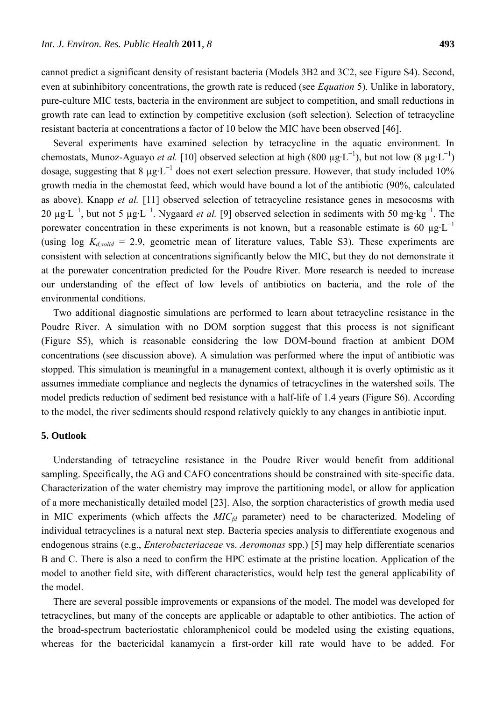cannot predict a significant density of resistant bacteria (Models 3B2 and 3C2, see Figure S4). Second, even at subinhibitory concentrations, the growth rate is reduced (see *Equation* 5). Unlike in laboratory, pure-culture MIC tests, bacteria in the environment are subject to competition, and small reductions in growth rate can lead to extinction by competitive exclusion (soft selection). Selection of tetracycline resistant bacteria at concentrations a factor of 10 below the MIC have been observed [46].

Several experiments have examined selection by tetracycline in the aquatic environment. In chemostats, Munoz-Aguayo *et al.* [10] observed selection at high (800  $\mu g \cdot L^{-1}$ ), but not low (8  $\mu g \cdot L^{-1}$ ) dosage, suggesting that 8  $\mu$ g·L<sup>-1</sup> does not exert selection pressure. However, that study included 10% growth media in the chemostat feed, which would have bound a lot of the antibiotic (90%, calculated as above). Knapp *et al.* [11] observed selection of tetracycline resistance genes in mesocosms with 20  $\mu$ g·L<sup>-1</sup>, but not 5  $\mu$ g·L<sup>-1</sup>. Nygaard *et al.* [9] observed selection in sediments with 50 mg·kg<sup>-1</sup>. The porewater concentration in these experiments is not known, but a reasonable estimate is 60  $\mu$ g·L<sup>-1</sup> (using  $log K_{d,solid} = 2.9$ , geometric mean of literature values, Table S3). These experiments are consistent with selection at concentrations significantly below the MIC, but they do not demonstrate it at the porewater concentration predicted for the Poudre River. More research is needed to increase our understanding of the effect of low levels of antibiotics on bacteria, and the role of the environmental conditions.

Two additional diagnostic simulations are performed to learn about tetracycline resistance in the Poudre River. A simulation with no DOM sorption suggest that this process is not significant (Figure S5), which is reasonable considering the low DOM-bound fraction at ambient DOM concentrations (see discussion above). A simulation was performed where the input of antibiotic was stopped. This simulation is meaningful in a management context, although it is overly optimistic as it assumes immediate compliance and neglects the dynamics of tetracyclines in the watershed soils. The model predicts reduction of sediment bed resistance with a half-life of 1.4 years (Figure S6). According to the model, the river sediments should respond relatively quickly to any changes in antibiotic input.

## **5. Outlook**

Understanding of tetracycline resistance in the Poudre River would benefit from additional sampling. Specifically, the AG and CAFO concentrations should be constrained with site-specific data. Characterization of the water chemistry may improve the partitioning model, or allow for application of a more mechanistically detailed model [23]. Also, the sorption characteristics of growth media used in MIC experiments (which affects the *MICfd* parameter) need to be characterized. Modeling of individual tetracyclines is a natural next step. Bacteria species analysis to differentiate exogenous and endogenous strains (e.g., *Enterobacteriaceae* vs. *Aeromonas* spp.) [5] may help differentiate scenarios B and C. There is also a need to confirm the HPC estimate at the pristine location. Application of the model to another field site, with different characteristics, would help test the general applicability of the model.

There are several possible improvements or expansions of the model. The model was developed for tetracyclines, but many of the concepts are applicable or adaptable to other antibiotics. The action of the broad-spectrum bacteriostatic chloramphenicol could be modeled using the existing equations, whereas for the bactericidal kanamycin a first-order kill rate would have to be added. For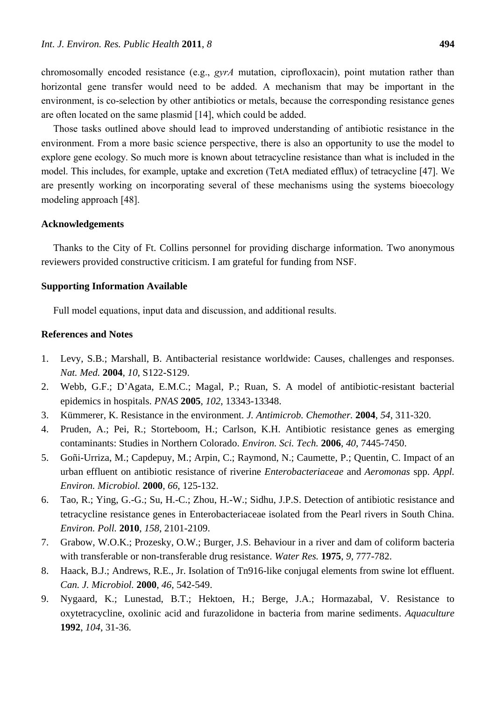chromosomally encoded resistance (e.g., *gyrA* mutation, ciprofloxacin), point mutation rather than horizontal gene transfer would need to be added. A mechanism that may be important in the environment, is co-selection by other antibiotics or metals, because the corresponding resistance genes are often located on the same plasmid [14], which could be added.

Those tasks outlined above should lead to improved understanding of antibiotic resistance in the environment. From a more basic science perspective, there is also an opportunity to use the model to explore gene ecology. So much more is known about tetracycline resistance than what is included in the model. This includes, for example, uptake and excretion (TetA mediated efflux) of tetracycline [47]. We are presently working on incorporating several of these mechanisms using the systems bioecology modeling approach [48].

## **Acknowledgements**

Thanks to the City of Ft. Collins personnel for providing discharge information. Two anonymous reviewers provided constructive criticism. I am grateful for funding from NSF.

## **Supporting Information Available**

Full model equations, input data and discussion, and additional results.

## **References and Notes**

- 1. Levy, S.B.; Marshall, B. Antibacterial resistance worldwide: Causes, challenges and responses. *Nat. Med.* **2004**, *10*, S122-S129.
- 2. Webb, G.F.; D'Agata, E.M.C.; Magal, P.; Ruan, S. A model of antibiotic-resistant bacterial epidemics in hospitals. *PNAS* **2005**, *102*, 13343-13348.
- 3. Kümmerer, K. Resistance in the environment. *J. Antimicrob. Chemother.* **2004**, *54*, 311-320.
- 4. Pruden, A.; Pei, R.; Storteboom, H.; Carlson, K.H. Antibiotic resistance genes as emerging contaminants: Studies in Northern Colorado. *Environ. Sci. Tech.* **2006**, *40*, 7445-7450.
- 5. Goñi-Urriza, M.; Capdepuy, M.; Arpin, C.; Raymond, N.; Caumette, P.; Quentin, C. Impact of an urban effluent on antibiotic resistance of riverine *Enterobacteriaceae* and *Aeromonas* spp. *Appl. Environ. Microbiol.* **2000**, *66*, 125-132.
- 6. Tao, R.; Ying, G.-G.; Su, H.-C.; Zhou, H.-W.; Sidhu, J.P.S. Detection of antibiotic resistance and tetracycline resistance genes in Enterobacteriaceae isolated from the Pearl rivers in South China. *Environ. Poll.* **2010**, *158*, 2101-2109.
- 7. Grabow, W.O.K.; Prozesky, O.W.; Burger, J.S. Behaviour in a river and dam of coliform bacteria with transferable or non-transferable drug resistance. *Water Res.* **1975**, *9*, 777-782.
- 8. Haack, B.J.; Andrews, R.E., Jr. Isolation of Tn916-like conjugal elements from swine lot effluent. *Can. J. Microbiol.* **2000**, *46*, 542-549.
- 9. Nygaard, K.; Lunestad, B.T.; Hektoen, H.; Berge, J.A.; Hormazabal, V. Resistance to oxytetracycline, oxolinic acid and furazolidone in bacteria from marine sediments. *Aquaculture* **1992**, *104*, 31-36.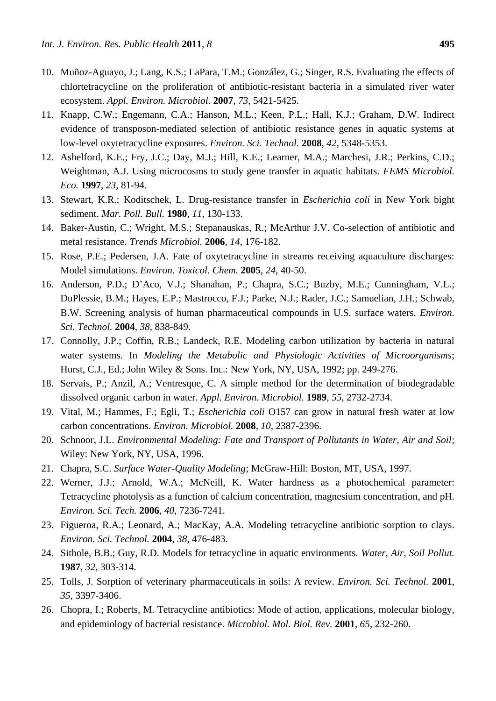- 10. Muñoz-Aguayo, J.; Lang, K.S.; LaPara, T.M.; González, G.; Singer, R.S. Evaluating the effects of chlortetracycline on the proliferation of antibiotic-resistant bacteria in a simulated river water ecosystem. *Appl. Environ. Microbiol.* **2007**, *73*, 5421-5425.
- 11. Knapp, C.W.; Engemann, C.A.; Hanson, M.L.; Keen, P.L.; Hall, K.J.; Graham, D.W. Indirect evidence of transposon-mediated selection of antibiotic resistance genes in aquatic systems at low-level oxytetracycline exposures. *Environ. Sci. Technol.* **2008**, *42*, 5348-5353.
- 12. Ashelford, K.E.; Fry, J.C.; Day, M.J.; Hill, K.E.; Learner, M.A.; Marchesi, J.R.; Perkins, C.D.; Weightman, A.J. Using microcosms to study gene transfer in aquatic habitats. *FEMS Microbiol. Eco.* **1997**, *23*, 81-94.
- 13. Stewart, K.R.; Koditschek, L. Drug-resistance transfer in *Escherichia coli* in New York bight sediment. *Mar. Poll. Bull.* **1980**, *11*, 130-133.
- 14. Baker-Austin, C.; Wright, M.S.; Stepanauskas, R.; McArthur J.V. Co-selection of antibiotic and metal resistance. *Trends Microbiol.* **2006**, *14*, 176-182.
- 15. Rose, P.E.; Pedersen, J.A. Fate of oxytetracycline in streams receiving aquaculture discharges: Model simulations. *Environ. Toxicol. Chem.* **2005**, *24*, 40-50.
- 16. Anderson, P.D.; D'Aco, V.J.; Shanahan, P.; Chapra, S.C.; Buzby, M.E.; Cunningham, V.L.; DuPlessie, B.M.; Hayes, E.P.; Mastrocco, F.J.; Parke, N.J.; Rader, J.C.; Samuelian, J.H.; Schwab, B.W. Screening analysis of human pharmaceutical compounds in U.S. surface waters. *Environ. Sci. Technol.* **2004**, *38*, 838-849.
- 17. Connolly, J.P.; Coffin, R.B.; Landeck, R.E. Modeling carbon utilization by bacteria in natural water systems. In *Modeling the Metabolic and Physiologic Activities of Microorganisms*; Hurst, C.J., Ed.; John Wiley & Sons. Inc.: New York, NY, USA, 1992; pp. 249-276.
- 18. Servais, P.; Anzil, A.; Ventresque, C. A simple method for the determination of biodegradable dissolved organic carbon in water. *Appl. Environ. Microbiol.* **1989**, *55*, 2732-2734.
- 19. Vital, M.; Hammes, F.; Egli, T.; *Escherichia coli* O157 can grow in natural fresh water at low carbon concentrations. *Environ. Microbiol.* **2008**, *10*, 2387-2396.
- 20. Schnoor, J.L. *Environmental Modeling: Fate and Transport of Pollutants in Water, Air and Soil*; Wiley: New York, NY, USA, 1996.
- 21. Chapra, S.C. *Surface Water-Quality Modeling*; McGraw-Hill: Boston, MT, USA, 1997.
- 22. Werner, J.J.; Arnold, W.A.; McNeill, K. Water hardness as a photochemical parameter: Tetracycline photolysis as a function of calcium concentration, magnesium concentration, and pH. *Environ. Sci. Tech.* **2006**, *40*, 7236-7241.
- 23. Figueroa, R.A.; Leonard, A.; MacKay, A.A. Modeling tetracycline antibiotic sorption to clays. *Environ. Sci. Technol.* **2004**, *38*, 476-483.
- 24. Sithole, B.B.; Guy, R.D. Models for tetracycline in aquatic environments. *Water, Air, Soil Pollut.* **1987**, *32*, 303-314.
- 25. Tolls, J. Sorption of veterinary pharmaceuticals in soils: A review. *Environ. Sci. Technol.* **2001**, *35*, 3397-3406.
- 26. Chopra, I.; Roberts, M. Tetracycline antibiotics: Mode of action, applications, molecular biology, and epidemiology of bacterial resistance. *Microbiol. Mol. Biol. Rev.* **2001**, *65*, 232-260.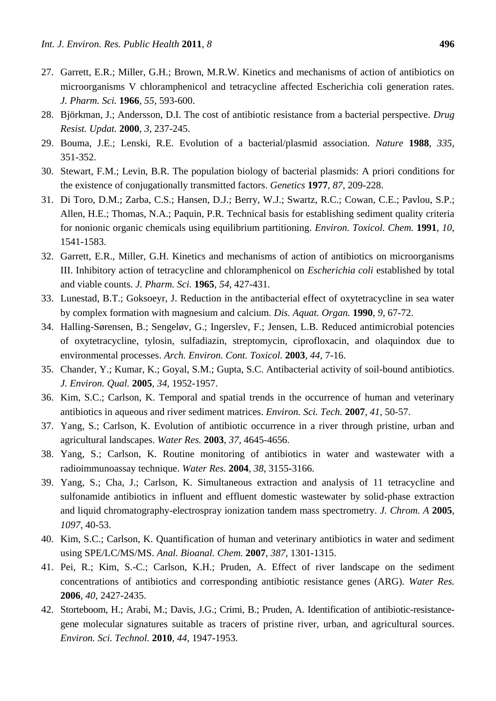- 27. Garrett, E.R.; Miller, G.H.; Brown, M.R.W. Kinetics and mechanisms of action of antibiotics on microorganisms V chloramphenicol and tetracycline affected Escherichia coli generation rates. *J. Pharm. Sci.* **1966**, *55*, 593-600.
- 28. Björkman, J.; Andersson, D.I. The cost of antibiotic resistance from a bacterial perspective. *Drug Resist. Updat.* **2000**, *3*, 237-245.
- 29. Bouma, J.E.; Lenski, R.E. Evolution of a bacterial/plasmid association. *Nature* **1988**, *335*, 351-352.
- 30. Stewart, F.M.; Levin, B.R. The population biology of bacterial plasmids: A priori conditions for the existence of conjugationally transmitted factors. *Genetics* **1977**, *87*, 209-228.
- 31. Di Toro, D.M.; Zarba, C.S.; Hansen, D.J.; Berry, W.J.; Swartz, R.C.; Cowan, C.E.; Pavlou, S.P.; Allen, H.E.; Thomas, N.A.; Paquin, P.R. Technical basis for establishing sediment quality criteria for nonionic organic chemicals using equilibrium partitioning. *Environ. Toxicol. Chem.* **1991**, *10*, 1541-1583.
- 32. Garrett, E.R., Miller, G.H. Kinetics and mechanisms of action of antibiotics on microorganisms III. Inhibitory action of tetracycline and chloramphenicol on *Escherichia coli* established by total and viable counts. *J. Pharm. Sci.* **1965**, *54*, 427-431.
- 33. Lunestad, B.T.; Goksoeyr, J. Reduction in the antibacterial effect of oxytetracycline in sea water by complex formation with magnesium and calcium. *Dis. Aquat. Organ.* **1990**, *9*, 67-72.
- 34. Halling-Sørensen, B.; Sengeløv, G.; Ingerslev, F.; Jensen, L.B. Reduced antimicrobial potencies of oxytetracycline, tylosin, sulfadiazin, streptomycin, ciprofloxacin, and olaquindox due to environmental processes. *Arch. Environ. Cont. Toxicol.* **2003**, *44*, 7-16.
- 35. Chander, Y.; Kumar, K.; Goyal, S.M.; Gupta, S.C. Antibacterial activity of soil-bound antibiotics. *J. Environ. Qual.* **2005**, *34*, 1952-1957.
- 36. Kim, S.C.; Carlson, K. Temporal and spatial trends in the occurrence of human and veterinary antibiotics in aqueous and river sediment matrices. *Environ. Sci. Tech.* **2007**, *41*, 50-57.
- 37. Yang, S.; Carlson, K. Evolution of antibiotic occurrence in a river through pristine, urban and agricultural landscapes. *Water Res.* **2003**, *37*, 4645-4656.
- 38. Yang, S.; Carlson, K. Routine monitoring of antibiotics in water and wastewater with a radioimmunoassay technique. *Water Res.* **2004**, *38*, 3155-3166.
- 39. Yang, S.; Cha, J.; Carlson, K. Simultaneous extraction and analysis of 11 tetracycline and sulfonamide antibiotics in influent and effluent domestic wastewater by solid-phase extraction and liquid chromatography-electrospray ionization tandem mass spectrometry. *J. Chrom. A* **2005**, *1097*, 40-53.
- 40. Kim, S.C.; Carlson, K. Quantification of human and veterinary antibiotics in water and sediment using SPE/LC/MS/MS. *Anal. Bioanal. Chem.* **2007**, *387*, 1301-1315.
- 41. Pei, R.; Kim, S.-C.; Carlson, K.H.; Pruden, A. Effect of river landscape on the sediment concentrations of antibiotics and corresponding antibiotic resistance genes (ARG). *Water Res.*  **2006**, *40*, 2427-2435.
- 42. Storteboom, H.; Arabi, M.; Davis, J.G.; Crimi, B.; Pruden, A. Identification of antibiotic-resistancegene molecular signatures suitable as tracers of pristine river, urban, and agricultural sources. *Environ. Sci. Technol.* **2010**, *44*, 1947-1953.